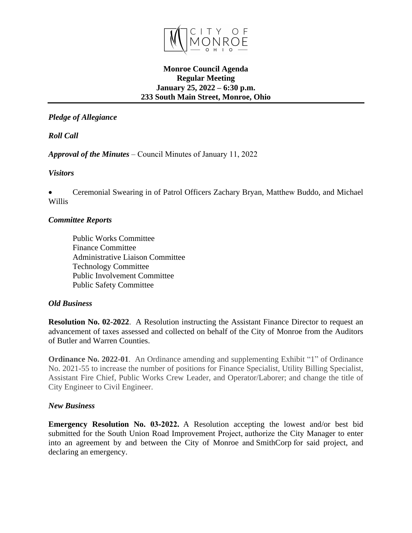

# **Monroe Council Agenda Regular Meeting January 25, 2022 – 6:30 p.m. 233 South Main Street, Monroe, Ohio**

*Pledge of Allegiance*

*Roll Call*

*Approval of the Minutes* – Council Minutes of January 11, 2022

*Visitors*

 Ceremonial Swearing in of Patrol Officers Zachary Bryan, Matthew Buddo, and Michael Willis

# *Committee Reports*

Public Works Committee Finance Committee Administrative Liaison Committee Technology Committee Public Involvement Committee Public Safety Committee

### *Old Business*

**Resolution No. 02-2022**. A Resolution instructing the Assistant Finance Director to request an advancement of taxes assessed and collected on behalf of the City of Monroe from the Auditors of Butler and Warren Counties.

**Ordinance No. 2022-01**. An Ordinance amending and supplementing Exhibit "1" of Ordinance No. 2021-55 to increase the number of positions for Finance Specialist, Utility Billing Specialist, Assistant Fire Chief, Public Works Crew Leader, and Operator/Laborer; and change the title of City Engineer to Civil Engineer.

### *New Business*

**Emergency Resolution No. 03-2022.** A Resolution accepting the lowest and/or best bid submitted for the South Union Road Improvement Project, authorize the City Manager to enter into an agreement by and between the City of Monroe and SmithCorp for said project, and declaring an emergency.